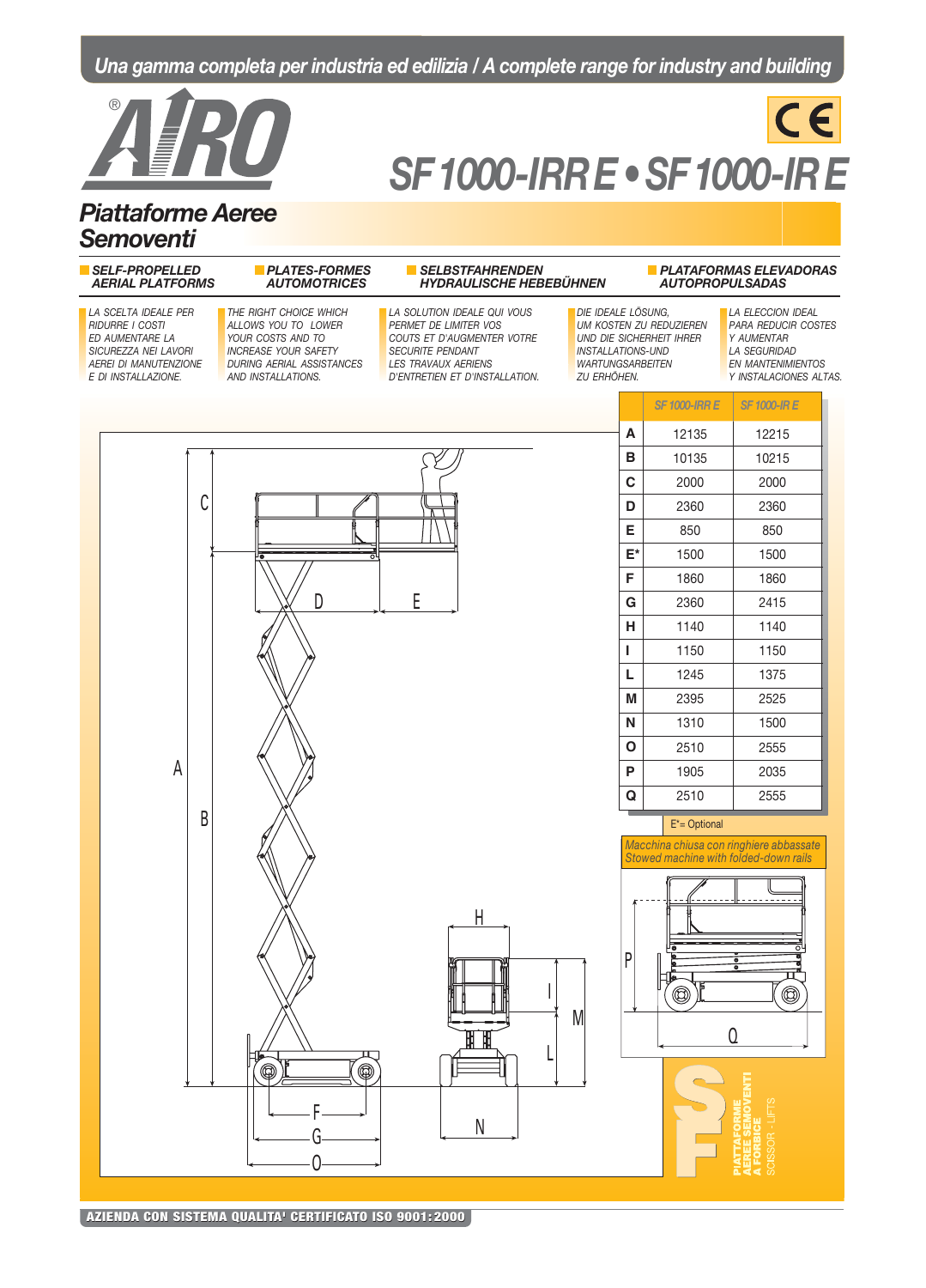# Una gamma completa per industria ed edilizia / A complete range for industry and building



# **SF1000-IRRE • SF1000-IRE**

 $C \in$ 

# **Piattaforme Aeree Semoventi**